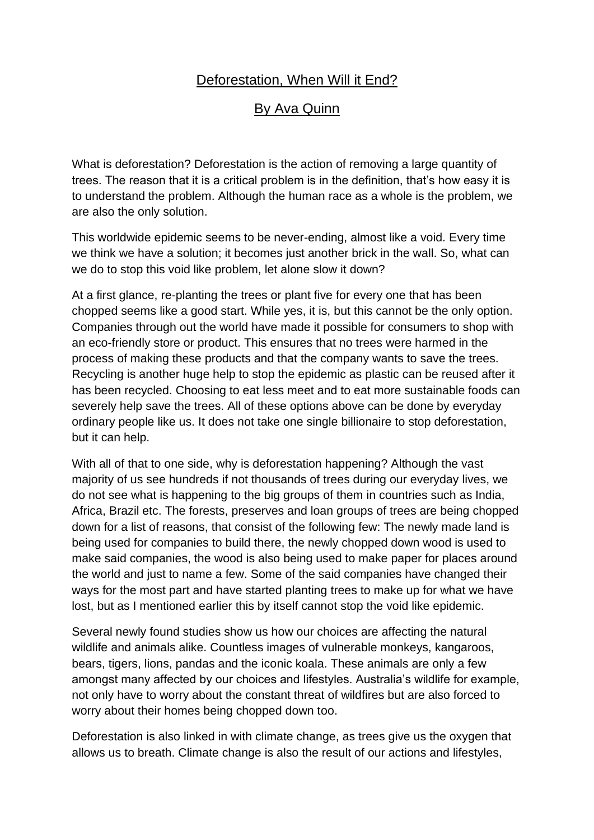## Deforestation, When Will it End?

## By Ava Quinn

What is deforestation? Deforestation is the action of removing a large quantity of trees. The reason that it is a critical problem is in the definition, that's how easy it is to understand the problem. Although the human race as a whole is the problem, we are also the only solution.

This worldwide epidemic seems to be never-ending, almost like a void. Every time we think we have a solution; it becomes just another brick in the wall. So, what can we do to stop this void like problem, let alone slow it down?

At a first glance, re-planting the trees or plant five for every one that has been chopped seems like a good start. While yes, it is, but this cannot be the only option. Companies through out the world have made it possible for consumers to shop with an eco-friendly store or product. This ensures that no trees were harmed in the process of making these products and that the company wants to save the trees. Recycling is another huge help to stop the epidemic as plastic can be reused after it has been recycled. Choosing to eat less meet and to eat more sustainable foods can severely help save the trees. All of these options above can be done by everyday ordinary people like us. It does not take one single billionaire to stop deforestation, but it can help.

With all of that to one side, why is deforestation happening? Although the vast majority of us see hundreds if not thousands of trees during our everyday lives, we do not see what is happening to the big groups of them in countries such as India, Africa, Brazil etc. The forests, preserves and loan groups of trees are being chopped down for a list of reasons, that consist of the following few: The newly made land is being used for companies to build there, the newly chopped down wood is used to make said companies, the wood is also being used to make paper for places around the world and just to name a few. Some of the said companies have changed their ways for the most part and have started planting trees to make up for what we have lost, but as I mentioned earlier this by itself cannot stop the void like epidemic.

Several newly found studies show us how our choices are affecting the natural wildlife and animals alike. Countless images of vulnerable monkeys, kangaroos, bears, tigers, lions, pandas and the iconic koala. These animals are only a few amongst many affected by our choices and lifestyles. Australia's wildlife for example, not only have to worry about the constant threat of wildfires but are also forced to worry about their homes being chopped down too.

Deforestation is also linked in with climate change, as trees give us the oxygen that allows us to breath. Climate change is also the result of our actions and lifestyles,